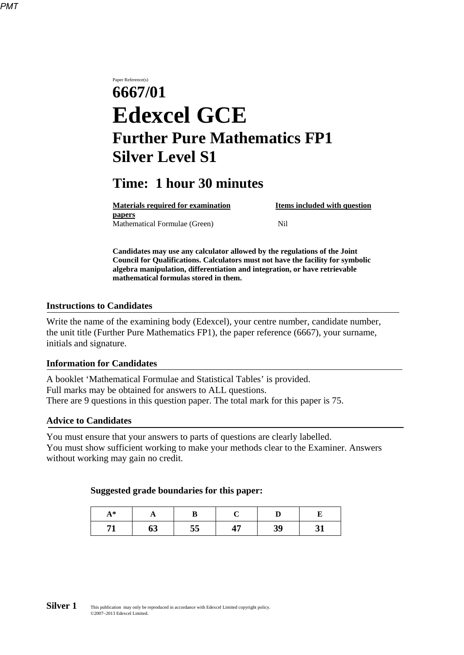Paper Reference(s) **6667/01 Edexcel GCE Further Pure Mathematics FP1 Silver Level S1**

# **Time: 1 hour 30 minutes**

| <b>Materials required for examination</b> | Items included with question |
|-------------------------------------------|------------------------------|
| <b>papers</b>                             |                              |
| Mathematical Formulae (Green)             | Nil                          |

**Candidates may use any calculator allowed by the regulations of the Joint Council for Qualifications. Calculators must not have the facility for symbolic algebra manipulation, differentiation and integration, or have retrievable mathematical formulas stored in them.**

#### **Instructions to Candidates**

Write the name of the examining body (Edexcel), your centre number, candidate number, the unit title (Further Pure Mathematics FP1), the paper reference (6667), your surname, initials and signature.

#### **Information for Candidates**

A booklet 'Mathematical Formulae and Statistical Tables' is provided. Full marks may be obtained for answers to ALL questions. There are 9 questions in this question paper. The total mark for this paper is 75.

#### **Advice to Candidates**

You must ensure that your answers to parts of questions are clearly labelled. You must show sufficient working to make your methods clear to the Examiner. Answers without working may gain no credit.

#### **Suggested grade boundaries for this paper:**

| $A^*$ |    |    |    |  |
|-------|----|----|----|--|
|       | 09 | 55 | 39 |  |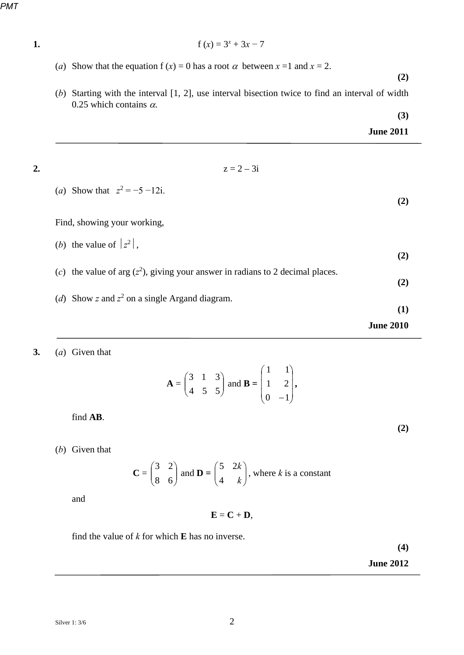*PMT*

1. 
$$
f(x) = 3^x + 3x - 7
$$

(*a*) Show that the equation f (*x*) = 0 has a root  $\alpha$  between *x* = 1 and *x* = 2.

**(2)** 

**(3)** 

(*b*) Starting with the interval [1, 2], use interval bisection twice to find an interval of width 0.25 which contains  $\alpha$ .

|                                                                                   | <b>June 2011</b> |
|-----------------------------------------------------------------------------------|------------------|
| $z = 2 - 3i$                                                                      |                  |
| ( <i>a</i> ) Show that $z^2 = -5 -12i$ .                                          | (2)              |
| Find, showing your working,                                                       |                  |
| ( <i>b</i> ) the value of $ z^2 $ ,                                               | (2)              |
| (c) the value of arg $(z^2)$ , giving your answer in radians to 2 decimal places. | (2)              |
| (d) Show z and $z^2$ on a single Argand diagram.                                  | (1)              |
|                                                                                   | <b>June 2010</b> |

### **3.** (*a*) Given that

$$
\mathbf{A} = \begin{pmatrix} 3 & 1 & 3 \\ 4 & 5 & 5 \end{pmatrix} \text{ and } \mathbf{B} = \begin{pmatrix} 1 & 1 \\ 1 & 2 \\ 0 & -1 \end{pmatrix},
$$

find **AB**.

(*b*) Given that

$$
\mathbf{C} = \begin{pmatrix} 3 & 2 \\ 8 & 6 \end{pmatrix} \text{ and } \mathbf{D} = \begin{pmatrix} 5 & 2k \\ 4 & k \end{pmatrix}, \text{ where } k \text{ is a constant}
$$

and

 $E = C + D$ ,

find the value of *k* for which **E** has no inverse.

**(4)** 

**(2)** 

**June 2012**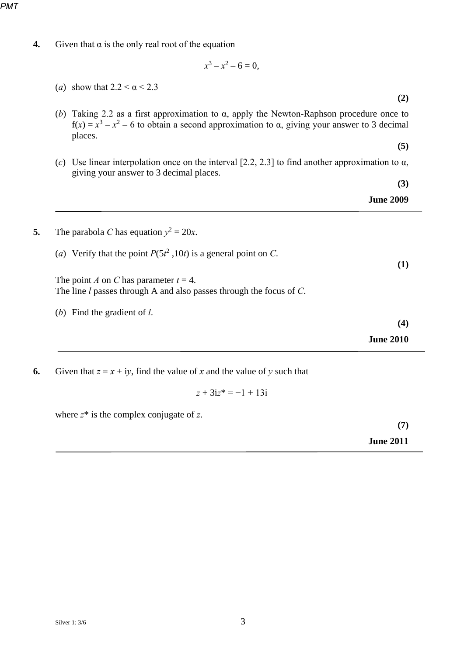*PMT*

**4.** Given that  $\alpha$  is the only real root of the equation

$$
x^3 - x^2 - 6 = 0,
$$

|                  | (a) show that $2.2 < \alpha < 2.3$                                                                                                                                                                                   |
|------------------|----------------------------------------------------------------------------------------------------------------------------------------------------------------------------------------------------------------------|
| (2)              |                                                                                                                                                                                                                      |
|                  | (b) Taking 2.2 as a first approximation to $\alpha$ , apply the Newton-Raphson procedure once to<br>$f(x) = x^3 - x^2 - 6$ to obtain a second approximation to $\alpha$ , giving your answer to 3 decimal<br>places. |
| (5)              |                                                                                                                                                                                                                      |
|                  | (c) Use linear interpolation once on the interval [2.2, 2.3] to find another approximation to $\alpha$ ,<br>giving your answer to 3 decimal places.                                                                  |
| (3)              |                                                                                                                                                                                                                      |
| <b>June 2009</b> |                                                                                                                                                                                                                      |
|                  |                                                                                                                                                                                                                      |
|                  | The parabola C has equation $y^2 = 20x$ .                                                                                                                                                                            |
| (1)              | (a) Verify that the point $P(5t^2, 10t)$ is a general point on C.                                                                                                                                                    |
|                  | The point A on C has parameter $t = 4$ .<br>The line $l$ passes through A and also passes through the focus of $C$ .                                                                                                 |
|                  | (b) Find the gradient of $l$ .                                                                                                                                                                                       |
| (4)              |                                                                                                                                                                                                                      |

**6.** Given that  $z = x + iy$ , find the value of *x* and the value of *y* such that

$$
z + 3iz^* = -1 + 13i
$$

where *z*\* is the complex conjugate of *z*.

**(7)** 

**June 2011**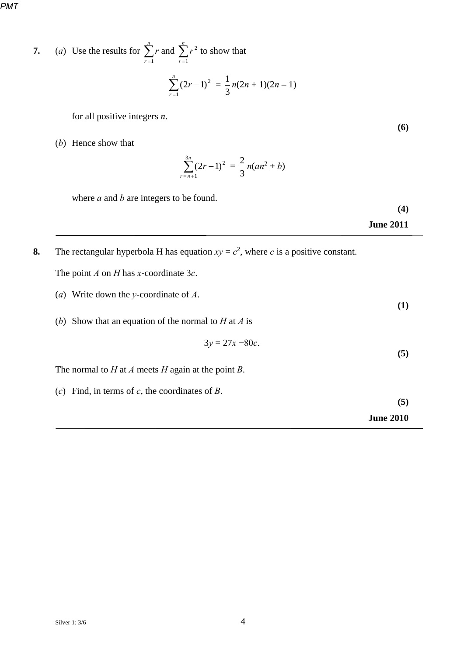*PMT*

7. (a) Use the results for 
$$
\sum_{r=1}^{n} r
$$
 and  $\sum_{r=1}^{n} r^2$  to show that  

$$
\sum_{r=1}^{n} (2r-1)^2 = \frac{1}{3} n(2n+1)(2n-1)
$$

for all positive integers *n*.

(*b*) Hence show that

$$
\sum_{r=n+1}^{3n} (2r-1)^2 = \frac{2}{3} n(an^2 + b)
$$

where *a* and *b* are integers to be found.

**(4)** 

**(6)** 

**June 2011** 

**8.** The rectangular hyperbola H has equation  $xy = c^2$ , where *c* is a positive constant. The point *A* on *H* has *x*-coordinate 3*c*.

- (*a*) Write down the *y*-coordinate of *A*.
- (*b*) Show that an equation of the normal to *H* at *A* is

$$
3y = 27x - 80c.
$$

The normal to *H* at *A* meets *H* again at the point *B*.

(*c*) Find, in terms of *c*, the coordinates of *B*.

**(5)** 

**(1)** 

**(5)** 

**June 2010**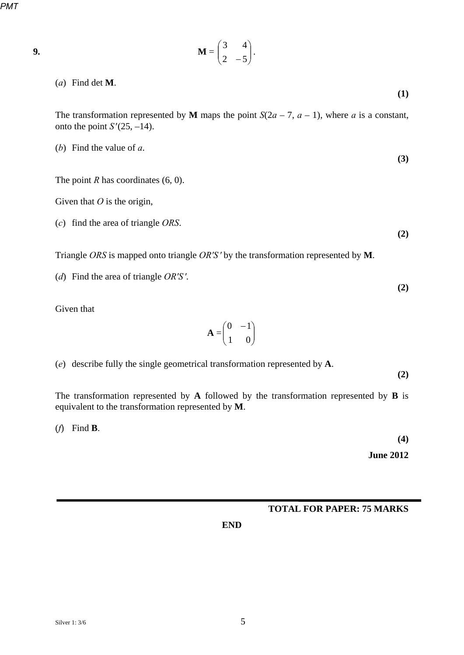*PMT*

|  | × |
|--|---|

$$
\mathbf{M} = \begin{pmatrix} 3 & 4 \\ 2 & -5 \end{pmatrix}.
$$

(*a*) Find det **M**.

The transformation represented by **M** maps the point  $S(2a - 7, a - 1)$ , where *a* is a constant, onto the point  $S'(25, -14)$ .

(*b*) Find the value of *a*.

The point *R* has coordinates (6, 0).

Given that *O* is the origin,

(*c*) find the area of triangle *ORS*.

**(2)** 

**(2)** 

**(1)** 

**(3)** 

Triangle *ORS* is mapped onto triangle *OR'S'* by the transformation represented by **M**.

(*d*) Find the area of triangle *OR'S '*.

Given that

$$
\mathbf{A} = \begin{pmatrix} 0 & -1 \\ 1 & 0 \end{pmatrix}
$$

(*e*) describe fully the single geometrical transformation represented by **A**.

The transformation represented by **A** followed by the transformation represented by **B** is equivalent to the transformation represented by **M**.

(*f*) Find **B**.

**(4)** 

**(2)** 

**June 2012**

### **TOTAL FOR PAPER: 75 MARKS**

**END**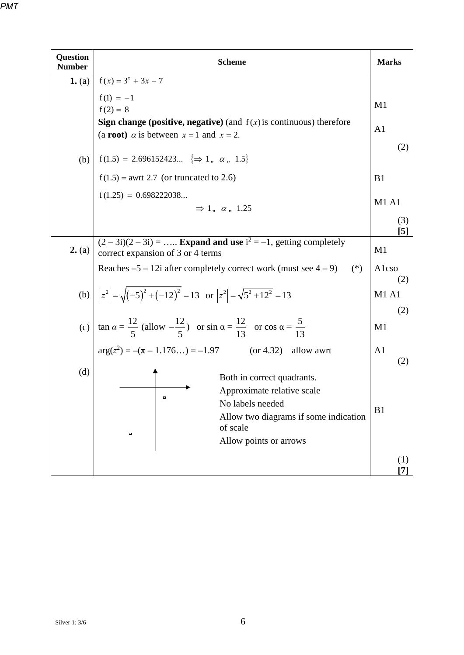| <b>Question</b><br><b>Number</b> | <b>Scheme</b>                                                                                                                                                         | <b>Marks</b>             |
|----------------------------------|-----------------------------------------------------------------------------------------------------------------------------------------------------------------------|--------------------------|
| 1. (a)                           | $f(x) = 3^x + 3x - 7$                                                                                                                                                 |                          |
|                                  | $f(1) = -1$<br>$f(2) = 8$                                                                                                                                             | M <sub>1</sub>           |
|                                  | <b>Sign change (positive, negative)</b> (and $f(x)$ is continuous) therefore<br>(a <b>root</b> ) $\alpha$ is between $x = 1$ and $x = 2$ .                            | A <sub>1</sub>           |
| (b)                              | $f(1.5) = 2.696152423 \approx 1, \alpha, 1.5$                                                                                                                         | (2)                      |
|                                  | $f(1.5) =$ awrt 2.7 (or truncated to 2.6)                                                                                                                             | B <sub>1</sub>           |
|                                  | $f(1.25) = 0.698222038$<br>$\Rightarrow$ 1, $\alpha$ , 1.25                                                                                                           | <b>M1 A1</b>             |
|                                  |                                                                                                                                                                       | (3)<br>$\lceil 5 \rceil$ |
| 2. (a)                           | $(2-3i)(2-3i) =$ Expand and use $i^2 = -1$ , getting completely<br>correct expansion of 3 or 4 terms                                                                  | M <sub>1</sub>           |
|                                  | Reaches $-5 - 12i$ after completely correct work (must see $4 - 9i$ )<br>$(*)$                                                                                        | Alcso<br>(2)             |
|                                  | (b) $ z^2  = \sqrt{(-5)^2 + (-12)^2} = 13$ or $ z^2  = \sqrt{5^2 + 12^2} = 13$                                                                                        | <b>M1 A1</b>             |
|                                  | (c) $\tan \alpha = \frac{12}{5}$ (allow $-\frac{12}{5}$ ) or $\sin \alpha = \frac{12}{13}$ or $\cos \alpha = \frac{5}{13}$                                            | (2)<br>M1                |
|                                  | $arg(z^2) = -(\pi - 1.176) = -1.97$<br>$(or 4.32)$ allow awrt                                                                                                         | A <sub>1</sub><br>(2)    |
| (d)                              | Both in correct quadrants.<br>Approximate relative scale<br>۰<br>No labels needed<br>Allow two diagrams if some indication<br>of scale<br>۰<br>Allow points or arrows | B1                       |
|                                  |                                                                                                                                                                       | (1)<br>[7]               |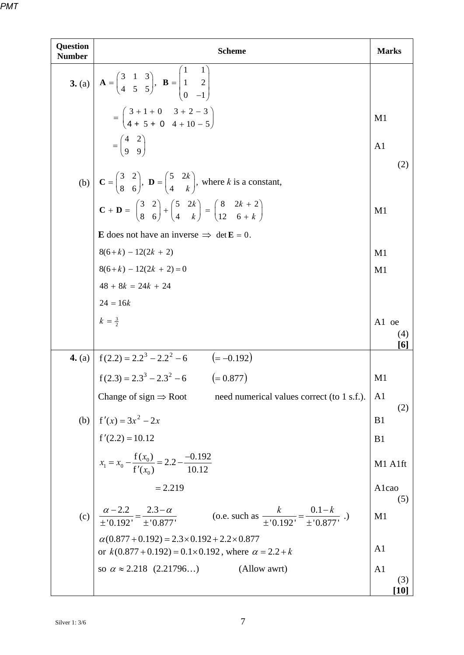| <b>Question</b><br><b>Number</b> | <b>Scheme</b>                                                                                                                                                                                                                                                                                                                                | <b>Marks</b>          |
|----------------------------------|----------------------------------------------------------------------------------------------------------------------------------------------------------------------------------------------------------------------------------------------------------------------------------------------------------------------------------------------|-----------------------|
|                                  | <b>3.</b> (a) $\mathbf{A} = \begin{pmatrix} 3 & 1 & 3 \\ 4 & 5 & 5 \end{pmatrix}$ , $\mathbf{B} = \begin{pmatrix} 1 & 1 \\ 1 & 2 \\ 0 & -1 \end{pmatrix}$                                                                                                                                                                                    |                       |
|                                  | $= \begin{pmatrix} 3+1+0 & 3+2-3 \\ 4+5+0 & 4+10-5 \end{pmatrix}$                                                                                                                                                                                                                                                                            | M <sub>1</sub>        |
|                                  | $=\begin{pmatrix} 4 & 2 \\ 9 & 9 \end{pmatrix}$                                                                                                                                                                                                                                                                                              | A <sub>1</sub><br>(2) |
|                                  | (b) $\mathbf{C} = \begin{pmatrix} 3 & 2 \\ 8 & 6 \end{pmatrix}$ , $\mathbf{D} = \begin{pmatrix} 5 & 2k \\ 4 & k \end{pmatrix}$ , where k is a constant,<br>$\mathbf{C} + \mathbf{D} = \begin{pmatrix} 3 & 2 \\ 8 & 6 \end{pmatrix} + \begin{pmatrix} 5 & 2k \\ 4 & k \end{pmatrix} = \begin{pmatrix} 8 & 2k + 2 \\ 12 & 6 + k \end{pmatrix}$ |                       |
|                                  |                                                                                                                                                                                                                                                                                                                                              | M <sub>1</sub>        |
|                                  | <b>E</b> does not have an inverse $\implies$ det <b>E</b> = 0.                                                                                                                                                                                                                                                                               |                       |
|                                  | $8(6+k) - 12(2k + 2)$                                                                                                                                                                                                                                                                                                                        | M1                    |
|                                  |                                                                                                                                                                                                                                                                                                                                              | M <sub>1</sub>        |
|                                  |                                                                                                                                                                                                                                                                                                                                              |                       |
|                                  |                                                                                                                                                                                                                                                                                                                                              |                       |
|                                  | $8(6+k) - 12(2k + 2) = 0$<br>$48 + 8k = 24k + 24$<br>$24 = 16k$<br>$k = \frac{3}{2}$                                                                                                                                                                                                                                                         | A1 oe<br>(4)<br>[6]   |
|                                  |                                                                                                                                                                                                                                                                                                                                              |                       |
|                                  | <b>4.</b> (a) $f(2.2) = 2.2^3 - 2.2^2 - 6$ $(= -0.192)$<br>$f(2.3) = 2.3^3 - 2.3^2 - 6$ $(= 0.877)$                                                                                                                                                                                                                                          | M <sub>1</sub>        |
|                                  | Change of sign $\Rightarrow$ Root<br>need numerical values correct (to 1 s.f.).                                                                                                                                                                                                                                                              | A <sub>1</sub><br>(2) |
|                                  |                                                                                                                                                                                                                                                                                                                                              | B <sub>1</sub>        |
|                                  |                                                                                                                                                                                                                                                                                                                                              | B <sub>1</sub>        |
|                                  | (b) $f'(x) = 3x^2 - 2x$<br>$f'(2.2) = 10.12$<br>$x_1 = x_0 - \frac{f(x_0)}{f'(x_0)} = 2.2 - \frac{-0.192}{10.12}$                                                                                                                                                                                                                            | M1 A1ft               |
|                                  | $= 2.219$                                                                                                                                                                                                                                                                                                                                    | Alcao<br>(5)          |
| (c)                              | $\frac{\alpha - 2.2}{\pm 0.192} = \frac{2.3 - \alpha}{\pm 0.877}$<br>(o.e. such as $\frac{k}{\pm 0.192} = \frac{0.1 - k}{\pm 0.877}$ .)                                                                                                                                                                                                      | M1                    |
|                                  | $\alpha(0.877 + 0.192) = 2.3 \times 0.192 + 2.2 \times 0.877$<br>or $k(0.877 + 0.192) = 0.1 \times 0.192$ , where $\alpha = 2.2 + k$                                                                                                                                                                                                         | A <sub>1</sub>        |
|                                  | so $\alpha \approx 2.218$ (2.21796)<br>(Allow awrt)                                                                                                                                                                                                                                                                                          | A <sub>1</sub>        |
|                                  |                                                                                                                                                                                                                                                                                                                                              | (3)<br>[10]           |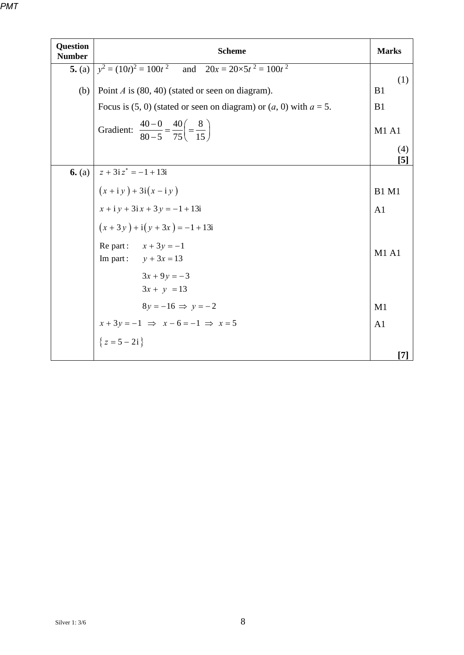|--|

| <b>Question</b> |                                                                                                |                            |
|-----------------|------------------------------------------------------------------------------------------------|----------------------------|
| <b>Number</b>   | <b>Scheme</b>                                                                                  | <b>Marks</b>               |
| 5. (a)          | $y^2 = (10t)^2 = 100t^2$ and $20x = 20 \times 5t^2 = 100t^2$                                   | (1)                        |
| (b)             | Point $A$ is (80, 40) (stated or seen on diagram).                                             | B1                         |
|                 | Focus is (5, 0) (stated or seen on diagram) or $(a, 0)$ with $a = 5$ .                         | B1                         |
|                 | Gradient: $\frac{40-0}{80-5} = \frac{40}{75} = \frac{8}{15}$                                   | <b>M1 A1</b>               |
|                 |                                                                                                | (4)<br>$\lbrack 5 \rbrack$ |
|                 | 6. (a) $ z + 3iz^* = -1 + 13i$                                                                 |                            |
|                 |                                                                                                | <b>B1 M1</b>               |
|                 |                                                                                                | A <sub>1</sub>             |
|                 | $(x + iy) + 3i(x - iy)$<br>$x + iy + 3ix + 3y = -1 + 13i$<br>$(x + 3y) + i(y + 3x) = -1 + 13i$ |                            |
|                 | Re part: $x + 3y = -1$<br>Im part: $y + 3x = 13$                                               | M1A1                       |
|                 | $3x + 9y = -3$<br>$3x + y = 13$                                                                |                            |
|                 | $8y = -16 \Rightarrow y = -2$                                                                  | M1                         |
|                 | $x + 3y = -1 \implies x - 6 = -1 \implies x = 5$<br>{ $z = 5 - 2i$ }                           | A <sub>1</sub>             |
|                 |                                                                                                | 17                         |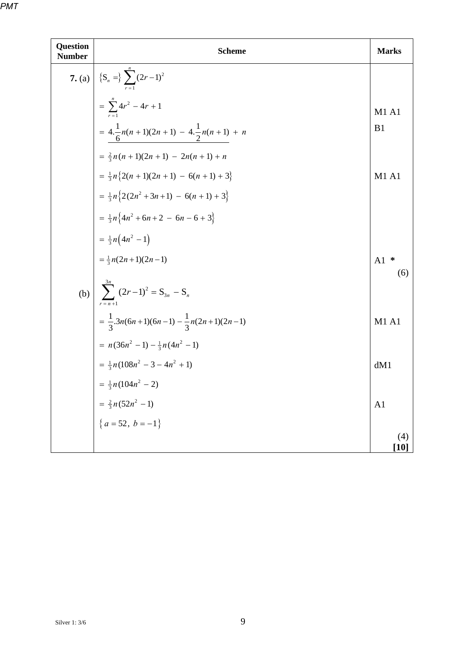| Question<br><b>Number</b> | <b>Scheme</b>                                                   | <b>Marks</b>   |
|---------------------------|-----------------------------------------------------------------|----------------|
|                           | 7. (a) $\left  \{S_n = \} \sum_{r=1}^{\infty} (2r-1)^2 \right $ |                |
|                           | $=\sum_{1}^{n} 4r^{2} - 4r + 1$                                 | M1 A1          |
|                           | = $4.\frac{1}{6}n(n+1)(2n+1) - 4.\frac{1}{2}n(n+1) + n$         | B <sub>1</sub> |
|                           | $=\frac{2}{3}n(n+1)(2n+1) - 2n(n+1) + n$                        |                |
|                           | $=\frac{1}{3}n\left\{2(n+1)(2n+1)-6(n+1)+3\right\}$             | M1 A1          |
|                           | $=\frac{1}{3}n\left\{2(2n^2+3n+1)-6(n+1)+3\right\}$             |                |
|                           | $=\frac{1}{3}n\left\{4n^2+6n+2-6n-6+3\right\}$                  |                |
|                           | $=\frac{1}{3}n(4n^2-1)$                                         |                |
|                           | $=\frac{1}{3}n(2n+1)(2n-1)$                                     | ∗<br>A1<br>(6) |
|                           | (b) $\sum_{r=n+1}^{3n} (2r-1)^2 = S_{3n} - S_n$                 |                |
|                           | $=\frac{1}{2}.3n(6n+1)(6n-1)-\frac{1}{3}n(2n+1)(2n-1)$          | M1A1           |
|                           | $= n(36n^2 - 1) - \frac{1}{3}n(4n^2 - 1)$                       |                |
|                           | $=\frac{1}{3}n(108n^2-3-4n^2+1)$                                | dM1            |
|                           | $=\frac{1}{3}n(104n^2-2)$                                       |                |
|                           | $=\frac{2}{3}n(52n^2-1)$                                        | A <sub>1</sub> |
|                           | ${a = 52, b = -1}$                                              |                |
|                           |                                                                 | (4)<br>$[10]$  |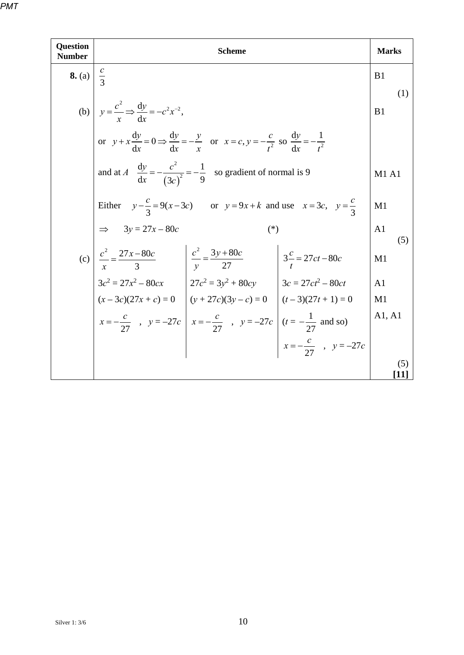| <b>Question</b><br><b>Number</b> |                                                                                                                                           | <b>Scheme</b> | <b>Marks</b>          |
|----------------------------------|-------------------------------------------------------------------------------------------------------------------------------------------|---------------|-----------------------|
| <b>8.</b> (a) $\frac{c}{3}$      |                                                                                                                                           |               | B <sub>1</sub>        |
|                                  | (b) $y = \frac{c^2}{r} \Rightarrow \frac{dy}{dr} = -c^2 x^{-2}$ ,                                                                         |               | (1)<br>B1             |
|                                  | or $y + x \frac{dy}{dx} = 0 \Rightarrow \frac{dy}{dx} = -\frac{y}{x}$ or $x = c, y = -\frac{c}{t^2}$ so $\frac{dy}{dx} = -\frac{1}{t^2}$  |               |                       |
|                                  | and at $A \frac{dy}{dx} = -\frac{c^2}{(3c)^2} = -\frac{1}{9}$ so gradient of normal is 9                                                  |               | M1A1                  |
|                                  | Either $y - \frac{c}{3} = 9(x - 3c)$ or $y = 9x + k$ and use $x = 3c$ , $y = \frac{c}{3}$                                                 |               | M1                    |
|                                  | $\implies$ 3y = 27x – 80c                                                                                                                 | $(*)$         | A <sub>1</sub><br>(5) |
|                                  | (c) $\left  \frac{c^2}{x} = \frac{27x - 80c}{3} \right $ $\left  \frac{c^2}{y} = \frac{3y + 80c}{27} \right $ $3\frac{c}{t} = 27ct - 80c$ |               | M1                    |
|                                  | $3c^2 = 27x^2 - 80cx$<br>$27c^2 = 3y^2 + 80cy$<br>$3c = 27ct^2 - 80ct$                                                                    |               | A <sub>1</sub>        |
|                                  | $(x-3c)(27x+c) = 0$ $(y+27c)(3y-c) = 0$ $(t-3)(27t+1) = 0$                                                                                |               | M1                    |
|                                  | $x = -\frac{c}{27}$ , $y = -27c$ $x = -\frac{c}{27}$ , $y = -27c$ $(t = -\frac{1}{27}$ and so)<br>$x = -\frac{c}{27}$ , $y = -27c$        |               | A1, A1                |
|                                  |                                                                                                                                           |               |                       |
|                                  |                                                                                                                                           |               | (5)                   |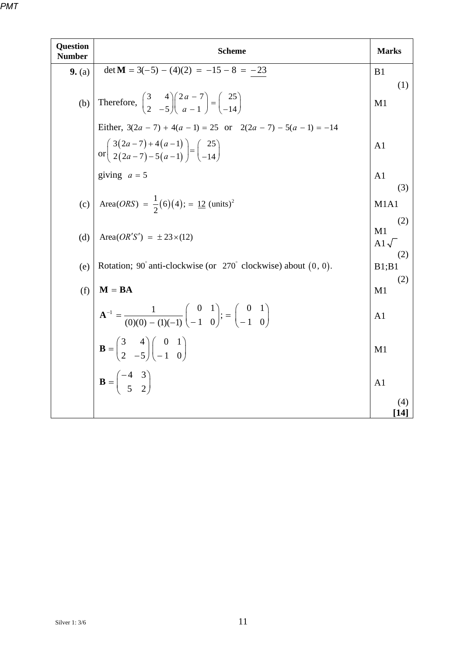| <b>Question</b><br><b>Number</b> | <b>Scheme</b>                                                                                                                                                              | <b>Marks</b>               |
|----------------------------------|----------------------------------------------------------------------------------------------------------------------------------------------------------------------------|----------------------------|
| 9. (a)                           | $\det M = 3(-5) - (4)(2) = -15 - 8 = -23$                                                                                                                                  | B1                         |
| (b)                              | Therefore, $\begin{pmatrix} 3 & 4 \\ 2 & -5 \end{pmatrix} \begin{pmatrix} 2a - 7 \\ a - 1 \end{pmatrix} = \begin{pmatrix} 25 \\ -14 \end{pmatrix}$                         | (1)<br>M <sub>1</sub>      |
|                                  | Either, $3(2a - 7) + 4(a - 1) = 25$ or $2(2a - 7) - 5(a - 1) = -14$                                                                                                        |                            |
|                                  | or $\begin{pmatrix} 3(2a-7)+4(a-1) \\ 2(2a-7)-5(a-1) \end{pmatrix} = \begin{pmatrix} 25 \\ -14 \end{pmatrix}$                                                              | A <sub>1</sub>             |
|                                  | giving $a = 5$                                                                                                                                                             | A <sub>1</sub><br>(3)      |
|                                  | (c) Area( <i>ORS</i> ) = $\frac{1}{2}$ (6)(4); = <u>12</u> (units) <sup>2</sup>                                                                                            | M1A1                       |
| (d)                              | Area $(OR'S') = \pm 23 \times (12)$                                                                                                                                        | (2)<br>M1<br>A1 $\sqrt{ }$ |
| (e)                              | Rotation; 90° anti-clockwise (or 270° clockwise) about (0, 0).                                                                                                             | (2)<br>B1;B1<br>(2)        |
| (f)                              | $M = BA$                                                                                                                                                                   | M1                         |
|                                  | $\mathbf{A}^{-1} = \frac{1}{(0)(0) - (1)(-1)} \begin{pmatrix} 0 & 1 \\ -1 & 0 \end{pmatrix}; = \begin{pmatrix} 0 & 1 \\ -1 & 0 \end{pmatrix}$                              | A <sub>1</sub>             |
|                                  | $\mathbf{B} = \begin{pmatrix} 3 & 4 \\ 2 & -5 \end{pmatrix} \begin{pmatrix} 0 & 1 \\ -1 & 0 \end{pmatrix}$<br>$\mathbf{B} = \begin{pmatrix} -4 & 3 \\ 5 & 2 \end{pmatrix}$ | M1                         |
|                                  |                                                                                                                                                                            | A1                         |
|                                  |                                                                                                                                                                            | (4)<br>14 I                |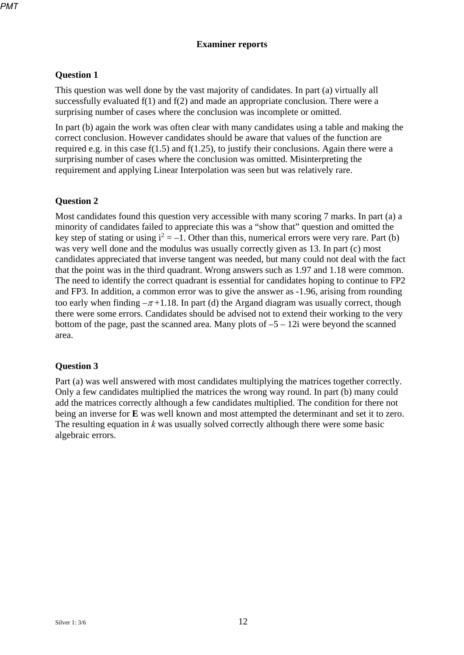#### **Examiner reports**

#### **Question 1**

This question was well done by the vast majority of candidates. In part (a) virtually all successfully evaluated f(1) and f(2) and made an appropriate conclusion. There were a surprising number of cases where the conclusion was incomplete or omitted.

In part (b) again the work was often clear with many candidates using a table and making the correct conclusion. However candidates should be aware that values of the function are required e.g. in this case f(1.5) and f(1.25), to justify their conclusions. Again there were a surprising number of cases where the conclusion was omitted. Misinterpreting the requirement and applying Linear Interpolation was seen but was relatively rare.

#### **Question 2**

Most candidates found this question very accessible with many scoring 7 marks. In part (a) a minority of candidates failed to appreciate this was a "show that" question and omitted the key step of stating or using  $i^2 = -1$ . Other than this, numerical errors were very rare. Part (b) was very well done and the modulus was usually correctly given as 13. In part (c) most candidates appreciated that inverse tangent was needed, but many could not deal with the fact that the point was in the third quadrant. Wrong answers such as 1.97 and 1.18 were common. The need to identify the correct quadrant is essential for candidates hoping to continue to FP2 and FP3. In addition, a common error was to give the answer as -1.96, arising from rounding too early when finding  $-\pi + 1.18$ . In part (d) the Argand diagram was usually correct, though there were some errors. Candidates should be advised not to extend their working to the very bottom of the page, past the scanned area. Many plots of  $-5 - 12i$  were beyond the scanned area.

### **Question 3**

Part (a) was well answered with most candidates multiplying the matrices together correctly. Only a few candidates multiplied the matrices the wrong way round. In part (b) many could add the matrices correctly although a few candidates multiplied. The condition for there not being an inverse for **E** was well known and most attempted the determinant and set it to zero. The resulting equation in *k* was usually solved correctly although there were some basic algebraic errors.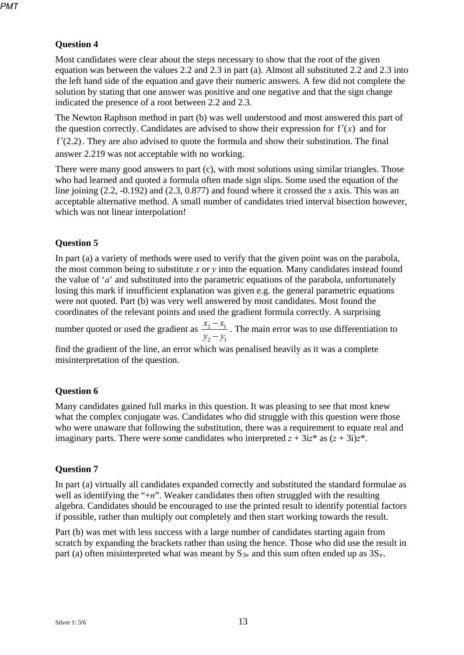## **Question 4**

Most candidates were clear about the steps necessary to show that the root of the given equation was between the values 2.2 and 2.3 in part (a). Almost all substituted 2.2 and 2.3 into the left hand side of the equation and gave their numeric answers. A few did not complete the solution by stating that one answer was positive and one negative and that the sign change indicated the presence of a root between 2.2 and 2.3.

The Newton Raphson method in part (b) was well understood and most answered this part of the question correctly. Candidates are advised to show their expression for  $f'(x)$  and for  $f'(2.2)$ . They are also advised to quote the formula and show their substitution. The final answer 2.219 was not acceptable with no working.

There were many good answers to part (c), with most solutions using similar triangles. Those who had learned and quoted a formula often made sign slips. Some used the equation of the line joining (2.2, -0.192) and (2.3, 0.877) and found where it crossed the *x* axis. This was an acceptable alternative method. A small number of candidates tried interval bisection however, which was not linear interpolation!

### **Question 5**

In part (a) a variety of methods were used to verify that the given point was on the parabola, the most common being to substitute  $x$  or  $y$  into the equation. Many candidates instead found the value of '*a*' and substituted into the parametric equations of the parabola, unfortunately losing this mark if insufficient explanation was given e.g. the general parametric equations were not quoted. Part (b) was very well answered by most candidates. Most found the coordinates of the relevant points and used the gradient formula correctly. A surprising

number quoted or used the gradient as  $\frac{x_2 - x_1}{x_2 - x_1}$ 2  $J_1$  $x_2 - x$  $y_2 - y$ −  $\frac{v_1}{-y_1}$ . The main error was to use differentiation to

find the gradient of the line, an error which was penalised heavily as it was a complete misinterpretation of the question.

#### **Question 6**

Many candidates gained full marks in this question. It was pleasing to see that most knew what the complex conjugate was. Candidates who did struggle with this question were those who were unaware that following the substitution, there was a requirement to equate real and imaginary parts. There were some candidates who interpreted  $z + 3iz^*$  as  $(z + 3i)z^*$ .

#### **Question 7**

In part (a) virtually all candidates expanded correctly and substituted the standard formulae as well as identifying the "+*n*". Weaker candidates then often struggled with the resulting algebra. Candidates should be encouraged to use the printed result to identify potential factors if possible, rather than multiply out completely and then start working towards the result.

Part (b) was met with less success with a large number of candidates starting again from scratch by expanding the brackets rather than using the hence. Those who did use the result in part (a) often misinterpreted what was meant by  $S_{3n}$  and this sum often ended up as  $3S_n$ .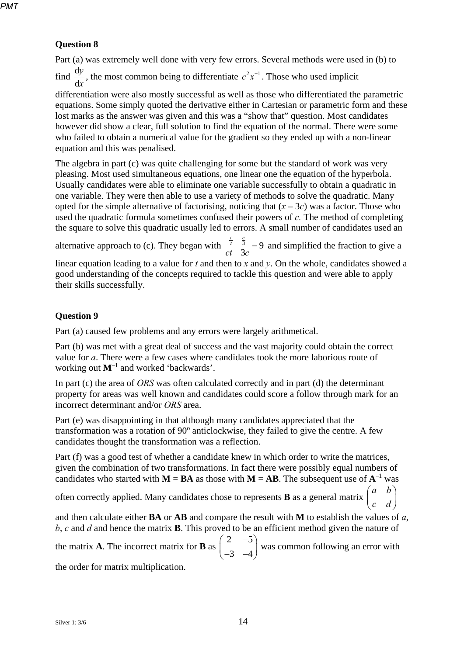## **Question 8**

Part (a) was extremely well done with very few errors. Several methods were used in (b) to

find *x y* d  $\frac{dy}{dx}$ , the most common being to differentiate  $c^2x^{-1}$ . Those who used implicit

differentiation were also mostly successful as well as those who differentiated the parametric equations. Some simply quoted the derivative either in Cartesian or parametric form and these lost marks as the answer was given and this was a "show that" question. Most candidates however did show a clear, full solution to find the equation of the normal. There were some who failed to obtain a numerical value for the gradient so they ended up with a non-linear equation and this was penalised.

The algebra in part (c) was quite challenging for some but the standard of work was very pleasing. Most used simultaneous equations, one linear one the equation of the hyperbola. Usually candidates were able to eliminate one variable successfully to obtain a quadratic in one variable. They were then able to use a variety of methods to solve the quadratic. Many opted for the simple alternative of factorising, noticing that  $(x - 3c)$  was a factor. Those who used the quadratic formula sometimes confused their powers of *c.* The method of completing the square to solve this quadratic usually led to errors. A small number of candidates used an

alternative approach to (c). They began with  $\frac{1}{2} = 9$ 3  $\frac{c}{t} - \frac{c}{3}$  $\frac{c}{t} - \frac{c}{3}$  = 9 and simplified the fraction to give a

linear equation leading to a value for *t* and then to *x* and *y*. On the whole, candidates showed a good understanding of the concepts required to tackle this question and were able to apply their skills successfully.

## **Question 9**

Part (a) caused few problems and any errors were largely arithmetical.

Part (b) was met with a great deal of success and the vast majority could obtain the correct value for *a*. There were a few cases where candidates took the more laborious route of working out **M**–1 and worked 'backwards'.

In part (c) the area of *ORS* was often calculated correctly and in part (d) the determinant property for areas was well known and candidates could score a follow through mark for an incorrect determinant and/or *ORS* area.

Part (e) was disappointing in that although many candidates appreciated that the transformation was a rotation of 90° anticlockwise, they failed to give the centre. A few candidates thought the transformation was a reflection.

Part (f) was a good test of whether a candidate knew in which order to write the matrices, given the combination of two transformations. In fact there were possibly equal numbers of candidates who started with  $M = BA$  as those with  $M = AB$ . The subsequent use of  $A^{-1}$  was

often correctly applied. Many candidates chose to represents **B** as a general matrix

 $\begin{pmatrix} a & b \\ c & d \end{pmatrix}$ and then calculate either **BA** or **AB** and compare the result with **M** to establish the values of *a*, *b*, *c* and *d* and hence the matrix **B**. This proved to be an efficient method given the nature of

*a b*

the matrix **A**. The incorrect matrix for **B** as 2  $-5$  $\begin{pmatrix} 2 & -5 \\ -3 & -4 \end{pmatrix}$  was common following an error with

the order for matrix multiplication.